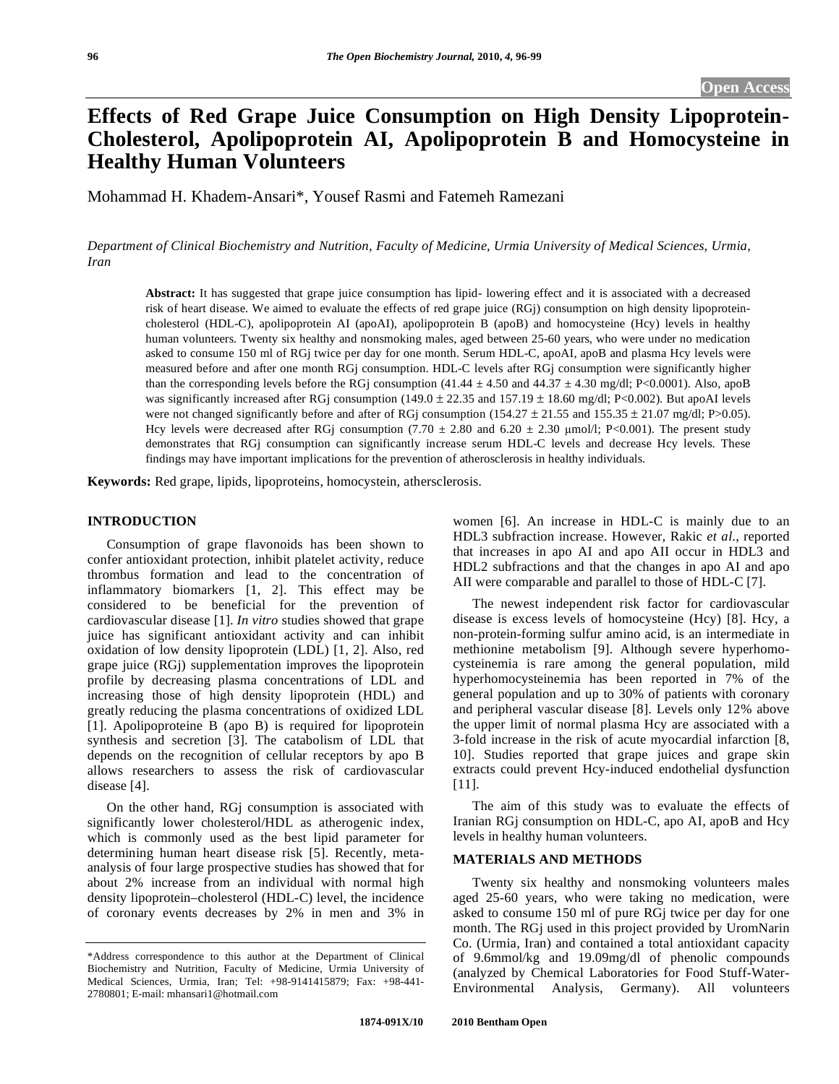# **Effects of Red Grape Juice Consumption on High Density Lipoprotein-Cholesterol, Apolipoprotein AI, Apolipoprotein B and Homocysteine in Healthy Human Volunteers**

Mohammad H. Khadem-Ansari\*, Yousef Rasmi and Fatemeh Ramezani

*Department of Clinical Biochemistry and Nutrition, Faculty of Medicine, Urmia University of Medical Sciences, Urmia, Iran* 

**Abstract:** It has suggested that grape juice consumption has lipid- lowering effect and it is associated with a decreased risk of heart disease. We aimed to evaluate the effects of red grape juice (RGj) consumption on high density lipoproteincholesterol (HDL-C), apolipoprotein AI (apoAI), apolipoprotein B (apoB) and homocysteine (Hcy) levels in healthy human volunteers. Twenty six healthy and nonsmoking males, aged between 25-60 years, who were under no medication asked to consume 150 ml of RGj twice per day for one month. Serum HDL-C, apoAI, apoB and plasma Hcy levels were measured before and after one month RGj consumption. HDL-C levels after RGj consumption were significantly higher than the corresponding levels before the RGj consumption  $(41.44 \pm 4.50 \text{ and } 44.37 \pm 4.30 \text{ mg/dl}; P<0.0001)$ . Also, apoB was significantly increased after RGj consumption  $(149.0 \pm 22.35 \text{ and } 157.19 \pm 18.60 \text{ mg/dl}; P<0.002)$ . But apoAI levels were not changed significantly before and after of RGj consumption (154.27  $\pm$  21.55 and 155.35  $\pm$  21.07 mg/dl; P>0.05). Hcy levels were decreased after RGj consumption (7.70  $\pm$  2.80 and 6.20  $\pm$  2.30 µmol/l; P<0.001). The present study demonstrates that RGj consumption can significantly increase serum HDL-C levels and decrease Hcy levels. These findings may have important implications for the prevention of atherosclerosis in healthy individuals.

**Keywords:** Red grape, lipids, lipoproteins, homocystein, athersclerosis.

# **INTRODUCTION**

 Consumption of grape flavonoids has been shown to confer antioxidant protection, inhibit platelet activity, reduce thrombus formation and lead to the concentration of inflammatory biomarkers [1, 2]. This effect may be considered to be beneficial for the prevention of cardiovascular disease [1]. *In vitro* studies showed that grape juice has significant antioxidant activity and can inhibit oxidation of low density lipoprotein (LDL) [1, 2]. Also, red grape juice (RGj) supplementation improves the lipoprotein profile by decreasing plasma concentrations of LDL and increasing those of high density lipoprotein (HDL) and greatly reducing the plasma concentrations of oxidized LDL [1]. Apolipoproteine B (apo B) is required for lipoprotein synthesis and secretion [3]. The catabolism of LDL that depends on the recognition of cellular receptors by apo B allows researchers to assess the risk of cardiovascular disease [4].

 On the other hand, RGj consumption is associated with significantly lower cholesterol/HDL as atherogenic index, which is commonly used as the best lipid parameter for determining human heart disease risk [5]. Recently, metaanalysis of four large prospective studies has showed that for about 2% increase from an individual with normal high density lipoprotein–cholesterol (HDL-C) level, the incidence of coronary events decreases by 2% in men and 3% in

women [6]. An increase in HDL-C is mainly due to an HDL3 subfraction increase. However, Rakic *et al*., reported that increases in apo AI and apo AII occur in HDL3 and HDL2 subfractions and that the changes in apo AI and apo AII were comparable and parallel to those of HDL-C [7].

 The newest independent risk factor for cardiovascular disease is excess levels of homocysteine (Hcy) [8]. Hcy, a non-protein-forming sulfur amino acid, is an intermediate in methionine metabolism [9]. Although severe hyperhomocysteinemia is rare among the general population, mild hyperhomocysteinemia has been reported in 7% of the general population and up to 30% of patients with coronary and peripheral vascular disease [8]. Levels only 12% above the upper limit of normal plasma Hcy are associated with a 3-fold increase in the risk of acute myocardial infarction [8, 10]. Studies reported that grape juices and grape skin extracts could prevent Hcy-induced endothelial dysfunction [11].

 The aim of this study was to evaluate the effects of Iranian RGj consumption on HDL-C, apo AI, apoB and Hcy levels in healthy human volunteers.

# **MATERIALS AND METHODS**

 Twenty six healthy and nonsmoking volunteers males aged 25-60 years, who were taking no medication, were asked to consume 150 ml of pure RGj twice per day for one month. The RGj used in this project provided by UromNarin Co. (Urmia, Iran) and contained a total antioxidant capacity of 9.6mmol/kg and 19.09mg/dl of phenolic compounds (analyzed by Chemical Laboratories for Food Stuff-Water-Environmental Analysis, Germany). All volunteers

<sup>\*</sup>Address correspondence to this author at the Department of Clinical Biochemistry and Nutrition, Faculty of Medicine, Urmia University of Medical Sciences, Urmia, Iran; Tel: +98-9141415879; Fax: +98-441- 2780801; E-mail: mhansari1@hotmail.com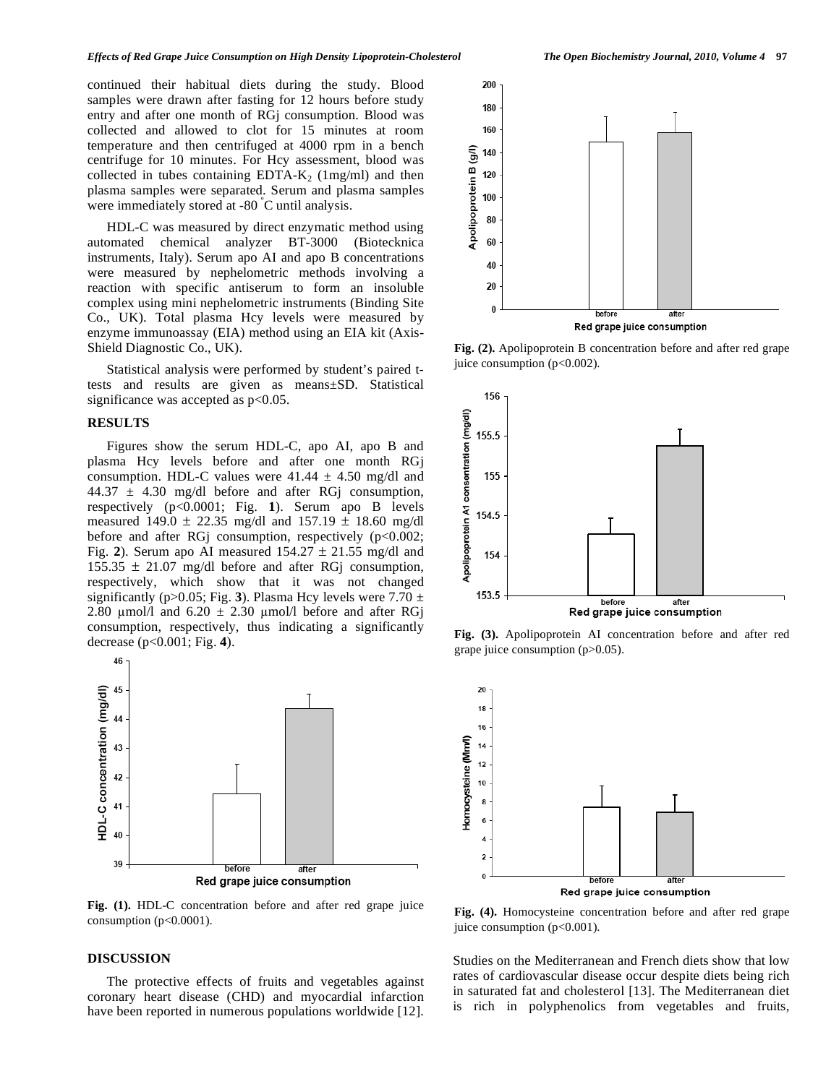continued their habitual diets during the study. Blood samples were drawn after fasting for 12 hours before study entry and after one month of RGj consumption. Blood was collected and allowed to clot for 15 minutes at room temperature and then centrifuged at 4000 rpm in a bench centrifuge for 10 minutes. For Hcy assessment, blood was collected in tubes containing EDTA- $K_2$  (1mg/ml) and then plasma samples were separated. Serum and plasma samples were immediately stored at -80 º C until analysis.

 HDL-C was measured by direct enzymatic method using automated chemical analyzer BT-3000 (Biotecknica instruments, Italy). Serum apo AI and apo B concentrations were measured by nephelometric methods involving a reaction with specific antiserum to form an insoluble complex using mini nephelometric instruments (Binding Site Co., UK). Total plasma Hcy levels were measured by enzyme immunoassay (EIA) method using an EIA kit (Axis-Shield Diagnostic Co., UK).

 Statistical analysis were performed by student's paired ttests and results are given as means±SD. Statistical significance was accepted as  $p<0.05$ .

## **RESULTS**

 Figures show the serum HDL-C, apo AI, apo B and plasma Hcy levels before and after one month RGj consumption. HDL-C values were  $41.44 \pm 4.50$  mg/dl and 44.37  $\pm$  4.30 mg/dl before and after RG consumption, respectively (p<0.0001; Fig. **1**). Serum apo B levels measured 149.0  $\pm$  22.35 mg/dl and 157.19  $\pm$  18.60 mg/dl before and after RG<sub>j</sub> consumption, respectively (p<0.002; Fig. 2). Serum apo AI measured  $154.27 \pm 21.55$  mg/dl and  $155.35 \pm 21.07$  mg/dl before and after RGj consumption, respectively, which show that it was not changed significantly (p $>0.05$ ; Fig. 3). Plasma Hcy levels were 7.70  $\pm$ 2.80  $\mu$ mol/l and 6.20  $\pm$  2.30  $\mu$ mol/l before and after RGj consumption, respectively, thus indicating a significantly decrease (p<0.001; Fig. **4**).



**Fig. (1).** HDL-C concentration before and after red grape juice consumption  $(p<0.0001)$ .

### **DISCUSSION**

 The protective effects of fruits and vegetables against coronary heart disease (CHD) and myocardial infarction have been reported in numerous populations worldwide [12].



**Fig. (2).** Apolipoprotein B concentration before and after red grape juice consumption  $(p<0.002)$ .



**Fig. (3).** Apolipoprotein AI concentration before and after red grape juice consumption (p>0.05).



**Fig. (4).** Homocysteine concentration before and after red grape juice consumption (p<0.001).

Studies on the Mediterranean and French diets show that low rates of cardiovascular disease occur despite diets being rich in saturated fat and cholesterol [13]. The Mediterranean diet is rich in polyphenolics from vegetables and fruits,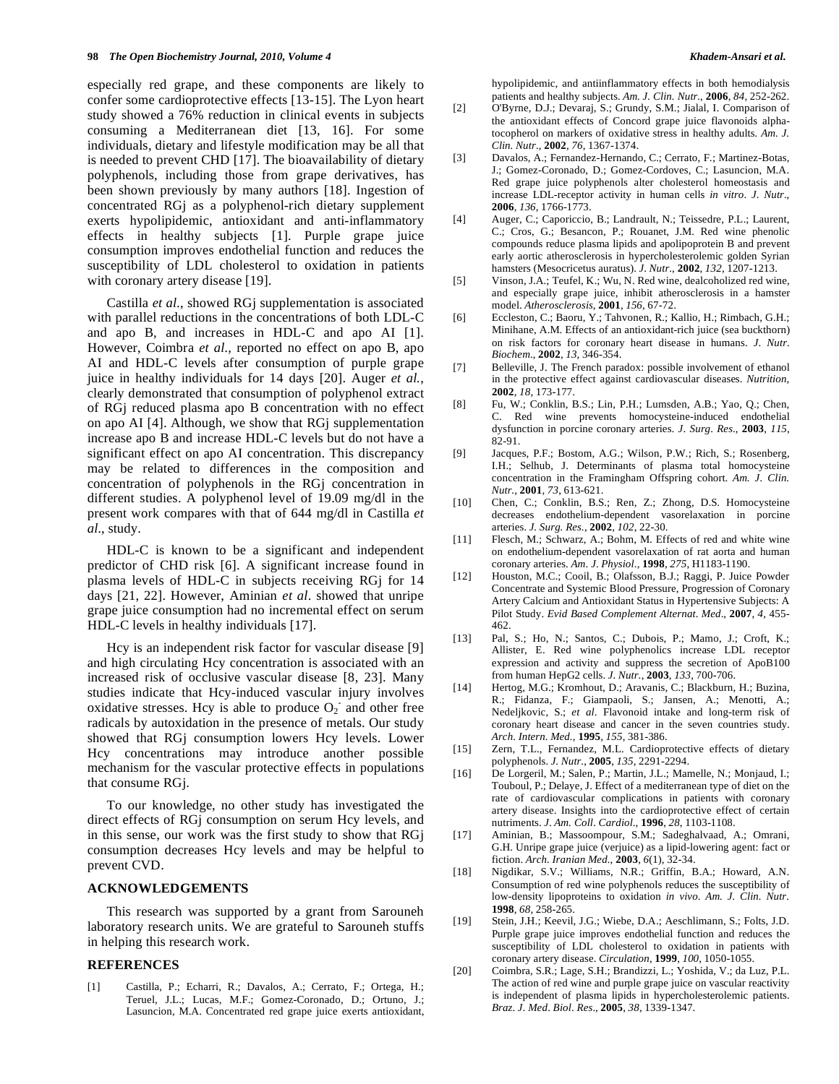especially red grape, and these components are likely to confer some cardioprotective effects [13-15]. The Lyon heart study showed a 76% reduction in clinical events in subjects consuming a Mediterranean diet [13, 16]. For some individuals, dietary and lifestyle modification may be all that is needed to prevent CHD [17]. The bioavailability of dietary polyphenols, including those from grape derivatives, has been shown previously by many authors [18]. Ingestion of concentrated RGj as a polyphenol-rich dietary supplement exerts hypolipidemic, antioxidant and anti-inflammatory effects in healthy subjects [1]. Purple grape juice consumption improves endothelial function and reduces the susceptibility of LDL cholesterol to oxidation in patients with coronary artery disease [19].

 Castilla *et al.*, showed RGj supplementation is associated with parallel reductions in the concentrations of both LDL-C and apo B, and increases in HDL-C and apo AI [1]. However, Coimbra *et al.,* reported no effect on apo B, apo AI and HDL-C levels after consumption of purple grape juice in healthy individuals for 14 days [20]. Auger *et al.*, clearly demonstrated that consumption of polyphenol extract of RGj reduced plasma apo B concentration with no effect on apo AI [4]. Although, we show that RGj supplementation increase apo B and increase HDL-C levels but do not have a significant effect on apo AI concentration. This discrepancy may be related to differences in the composition and concentration of polyphenols in the RGj concentration in different studies. A polyphenol level of 19.09 mg/dl in the present work compares with that of 644 mg/dl in Castilla *et al*., study.

 HDL-C is known to be a significant and independent predictor of CHD risk [6]. A significant increase found in plasma levels of HDL-C in subjects receiving RGj for 14 days [21, 22]. However, Aminian *et al*. showed that unripe grape juice consumption had no incremental effect on serum HDL-C levels in healthy individuals [17].

 Hcy is an independent risk factor for vascular disease [9] and high circulating Hcy concentration is associated with an increased risk of occlusive vascular disease [8, 23]. Many studies indicate that Hcy-induced vascular injury involves oxidative stresses. Hcy is able to produce  $O_2$  and other free radicals by autoxidation in the presence of metals. Our study showed that RGj consumption lowers Hcy levels. Lower Hcy concentrations may introduce another possible mechanism for the vascular protective effects in populations that consume RGj.

 To our knowledge, no other study has investigated the direct effects of RGj consumption on serum Hcy levels, and in this sense, our work was the first study to show that RGj consumption decreases Hcy levels and may be helpful to prevent CVD.

# **ACKNOWLEDGEMENTS**

 This research was supported by a grant from Sarouneh laboratory research units. We are grateful to Sarouneh stuffs in helping this research work.

# **REFERENCES**

[1] Castilla, P.; Echarri, R.; Davalos, A.; Cerrato, F.; Ortega, H.; Teruel, J.L.; Lucas, M.F.; Gomez-Coronado, D.; Ortuno, J.; Lasuncion, M.A. Concentrated red grape juice exerts antioxidant, hypolipidemic, and antiinflammatory effects in both hemodialysis patients and healthy subjects. *Am. J. Clin. Nutr.*, **2006**, *84*, 252-262.

- [2] O'Byrne, D.J.; Devaraj, S.; Grundy, S.M.; Jialal, I. Comparison of the antioxidant effects of Concord grape juice flavonoids alphatocopherol on markers of oxidative stress in healthy adults. *Am. J. Clin. Nutr.*, **2002**, *76*, 1367-1374.
- [3] Davalos, A.; Fernandez-Hernando, C.; Cerrato, F.; Martinez-Botas, J.; Gomez-Coronado, D.; Gomez-Cordoves, C.; Lasuncion, M.A. Red grape juice polyphenols alter cholesterol homeostasis and increase LDL-receptor activity in human cells *in vitro*. *J*. *Nutr*., **2006***, 136*, 1766-1773.
- [4] Auger, C.; Caporiccio, B.; Landrault, N.; Teissedre, P.L.; Laurent, C.; Cros, G.; Besancon, P.; Rouanet, J.M. Red wine phenolic compounds reduce plasma lipids and apolipoprotein B and prevent early aortic atherosclerosis in hypercholesterolemic golden Syrian hamsters (Mesocricetus auratus). *J*. *Nutr*., **2002**, *132*, 1207-1213.
- [5] Vinson, J.A.; Teufel, K.; Wu, N. Red wine, dealcoholized red wine, and especially grape juice, inhibit atherosclerosis in a hamster model. *Atherosclerosis*, **2001**, *156*, 67-72.
- [6] Eccleston, C.; Baoru, Y.; Tahvonen, R.; Kallio, H.; Rimbach, G.H.; Minihane, A.M. Effects of an antioxidant-rich juice (sea buckthorn) on risk factors for coronary heart disease in humans. *J*. *Nutr*. *Biochem*., **2002**, *13,* 346-354.
- [7] Belleville, J. The French paradox: possible involvement of ethanol in the protective effect against cardiovascular diseases. *Nutrition*, **2002**, *18*, 173-177.
- [8] Fu, W.; Conklin, B.S.; Lin, P.H.; Lumsden, A.B.; Yao, Q.; Chen, C. Red wine prevents homocysteine-induced endothelial dysfunction in porcine coronary arteries. *J*. *Surg*. *Res*., **2003**, *115*, 82-91.
- [9] Jacques, P.F.; Bostom, A.G.; Wilson, P.W.; Rich, S.; Rosenberg, I.H.; Selhub, J. Determinants of plasma total homocysteine concentration in the Framingham Offspring cohort. *Am. J. Clin. Nutr.,* **2001**, *73*, 613-621.
- [10] Chen, C.; Conklin, B.S.; Ren, Z.; Zhong, D.S. Homocysteine decreases endothelium-dependent vasorelaxation in porcine arteries. *J. Surg. Res.*, **2002**, *102*, 22-30.
- [11] Flesch, M.; Schwarz, A.; Bohm, M. Effects of red and white wine on endothelium-dependent vasorelaxation of rat aorta and human coronary arteries. *Am*. *J*. *Physiol*., **1998**, *275*, H1183-1190.
- [12] Houston, M.C.; Cooil, B.; Olafsson, B.J.; Raggi, P. Juice Powder Concentrate and Systemic Blood Pressure, Progression of Coronary Artery Calcium and Antioxidant Status in Hypertensive Subjects: A Pilot Study. *Evid Based Complement Alternat*. *Med*., **2007**, *4*, 455- 462.
- [13] Pal, S.; Ho, N.; Santos, C.; Dubois, P.; Mamo, J.; Croft, K.; Allister, E. Red wine polyphenolics increase LDL receptor expression and activity and suppress the secretion of ApoB100 from human HepG2 cells. *J*. *Nutr*., **2003**, *133*, 700-706.
- [14] Hertog, M.G.; Kromhout, D.; Aravanis, C.; Blackburn, H.; Buzina, R.; Fidanza, F.; Giampaoli, S.; Jansen, A.; Menotti, A.; Nedeljkovic, S.; *et al*. Flavonoid intake and long-term risk of coronary heart disease and cancer in the seven countries study. *Arch. Intern. Med.,* **1995**, *155*, 381-386.
- [15] Zern, T.L., Fernandez, M.L. Cardioprotective effects of dietary polyphenols. *J. Nutr.*, **2005**, *135*, 2291-2294.
- [16] De Lorgeril, M.; Salen, P.; Martin, J.L.; Mamelle, N.; Monjaud, I.; Touboul, P.; Delaye, J. Effect of a mediterranean type of diet on the rate of cardiovascular complications in patients with coronary artery disease. Insights into the cardioprotective effect of certain nutriments. *J*. *Am. Coll*. *Cardiol*., **1996**, *28*, 1103-1108.
- [17] Aminian, B.; Massoompour, S.M.; Sadeghalvaad, A.; Omrani, G.H. Unripe grape juice (verjuice) as a lipid-lowering agent: fact or fiction. *Arch. Iranian Med.*, **2003**, *6*(1), 32-34.
- [18] Nigdikar, S.V.; Williams, N.R.; Griffin, B.A.; Howard, A.N. Consumption of red wine polyphenols reduces the susceptibility of low-density lipoproteins to oxidation *in vivo*. *Am. J. Clin. Nutr.* **1998**, *68*, 258-265.
- [19] Stein, J.H.; Keevil, J.G.; Wiebe, D.A.; Aeschlimann, S.; Folts, J.D. Purple grape juice improves endothelial function and reduces the susceptibility of LDL cholesterol to oxidation in patients with coronary artery disease. *Circulation*, **1999**, *100*, 1050-1055.
- [20] Coimbra, S.R.; Lage, S.H.; Brandizzi, L.; Yoshida, V.; da Luz, P.L. The action of red wine and purple grape juice on vascular reactivity is independent of plasma lipids in hypercholesterolemic patients. *Braz*. *J*. *Med*. *Biol*. *Res*., **2005**, *38*, 1339-1347.